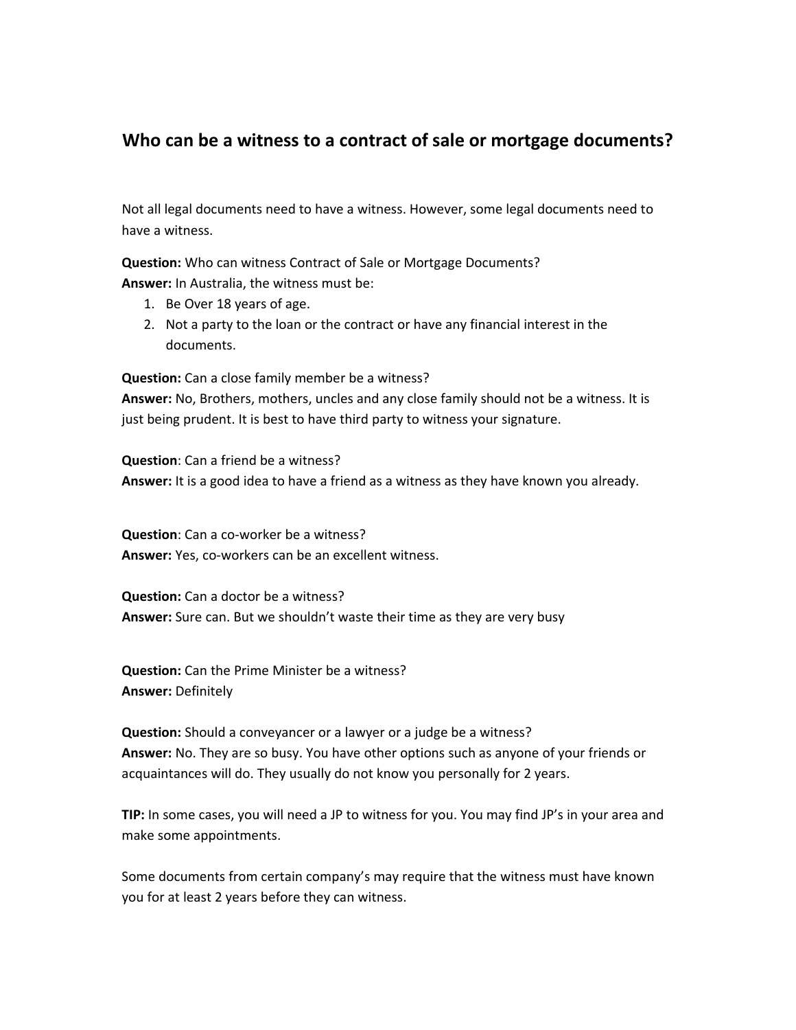## **Who can be a witness to a contract of sale or mortgage documents?**

Not all legal documents need to have a witness. However, some legal documents need to have a witness.

**Question:** Who can witness Contract of Sale or Mortgage Documents? **Answer:** In Australia, the witness must be:

- 1. Be Over 18 years of age.
- 2. Not a party to the loan or the contract or have any financial interest in the documents.

**Question:** Can a close family member be a witness? **Answer:** No, Brothers, mothers, uncles and any close family should not be a witness. It is

just being prudent. It is best to have third party to witness your signature.

**Question**: Can a friend be a witness? **Answer:** It is a good idea to have a friend as a witness as they have known you already.

**Question**: Can a co‐worker be a witness? **Answer:** Yes, co‐workers can be an excellent witness.

**Question:** Can a doctor be a witness? **Answer:** Sure can. But we shouldn't waste their time as they are very busy

**Question:** Can the Prime Minister be a witness? **Answer:** Definitely

**Question:** Should a conveyancer or a lawyer or a judge be a witness? **Answer:** No. They are so busy. You have other options such as anyone of your friends or acquaintances will do. They usually do not know you personally for 2 years.

**TIP:** In some cases, you will need a JP to witness for you. You may find JP's in your area and make some appointments.

Some documents from certain company's may require that the witness must have known you for at least 2 years before they can witness.